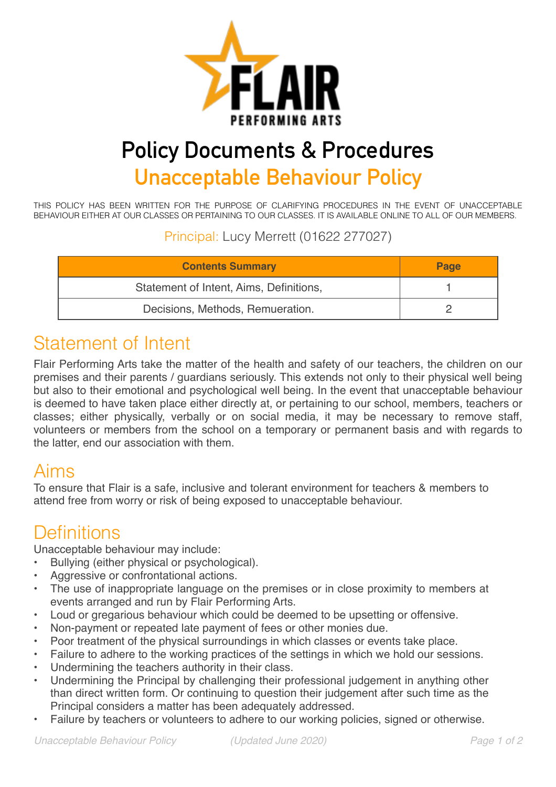

# **Policy Documents & Procedures Unacceptable Behaviour Policy**

THIS POLICY HAS BEEN WRITTEN FOR THE PURPOSE OF CLARIFYING PROCEDURES IN THE EVENT OF UNACCEPTABLE BEHAVIOUR EITHER AT OUR CLASSES OR PERTAINING TO OUR CLASSES. IT IS AVAILABLE ONLINE TO ALL OF OUR MEMBERS.

Principal: Lucy Merrett (01622 277027)

| <b>Contents Summary</b>                 | Page |
|-----------------------------------------|------|
| Statement of Intent, Aims, Definitions, |      |
| Decisions, Methods, Remueration.        |      |

## Statement of Intent

Flair Performing Arts take the matter of the health and safety of our teachers, the children on our premises and their parents / guardians seriously. This extends not only to their physical well being but also to their emotional and psychological well being. In the event that unacceptable behaviour is deemed to have taken place either directly at, or pertaining to our school, members, teachers or classes; either physically, verbally or on social media, it may be necessary to remove staff, volunteers or members from the school on a temporary or permanent basis and with regards to the latter, end our association with them.

## Aims

To ensure that Flair is a safe, inclusive and tolerant environment for teachers & members to attend free from worry or risk of being exposed to unacceptable behaviour.

## **Definitions**

Unacceptable behaviour may include:

- Bullying (either physical or psychological).
- Aggressive or confrontational actions.
- The use of inappropriate language on the premises or in close proximity to members at events arranged and run by Flair Performing Arts.
- Loud or gregarious behaviour which could be deemed to be upsetting or offensive.
- Non-payment or repeated late payment of fees or other monies due.
- Poor treatment of the physical surroundings in which classes or events take place.
- Failure to adhere to the working practices of the settings in which we hold our sessions.
- Undermining the teachers authority in their class.
- Undermining the Principal by challenging their professional judgement in anything other than direct written form. Or continuing to question their judgement after such time as the Principal considers a matter has been adequately addressed.
- Failure by teachers or volunteers to adhere to our working policies, signed or otherwise.